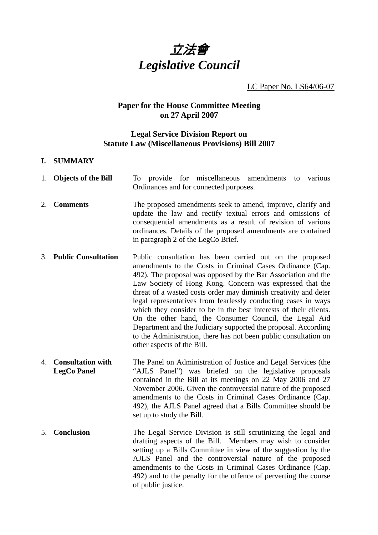

LC Paper No. LS64/06-07

# **Paper for the House Committee Meeting on 27 April 2007**

## **Legal Service Division Report on Statute Law (Miscellaneous Provisions) Bill 2007**

#### **I. SUMMARY**

|    | 1. Objects of the Bill                         | To provide for miscellaneous amendments to<br>various<br>Ordinances and for connected purposes.                                                                                                                                                                                                                                                                                                                                                                                                                                                                                                                                                                                             |
|----|------------------------------------------------|---------------------------------------------------------------------------------------------------------------------------------------------------------------------------------------------------------------------------------------------------------------------------------------------------------------------------------------------------------------------------------------------------------------------------------------------------------------------------------------------------------------------------------------------------------------------------------------------------------------------------------------------------------------------------------------------|
| 2. | <b>Comments</b>                                | The proposed amendments seek to amend, improve, clarify and<br>update the law and rectify textual errors and omissions of<br>consequential amendments as a result of revision of various<br>ordinances. Details of the proposed amendments are contained<br>in paragraph 2 of the LegCo Brief.                                                                                                                                                                                                                                                                                                                                                                                              |
| 3. | <b>Public Consultation</b>                     | Public consultation has been carried out on the proposed<br>amendments to the Costs in Criminal Cases Ordinance (Cap.<br>492). The proposal was opposed by the Bar Association and the<br>Law Society of Hong Kong. Concern was expressed that the<br>threat of a wasted costs order may diminish creativity and deter<br>legal representatives from fearlessly conducting cases in ways<br>which they consider to be in the best interests of their clients.<br>On the other hand, the Consumer Council, the Legal Aid<br>Department and the Judiciary supported the proposal. According<br>to the Administration, there has not been public consultation on<br>other aspects of the Bill. |
| 4. | <b>Consultation with</b><br><b>LegCo Panel</b> | The Panel on Administration of Justice and Legal Services (the<br>"AJLS Panel") was briefed on the legislative proposals<br>contained in the Bill at its meetings on 22 May 2006 and 27<br>November 2006. Given the controversial nature of the proposed<br>amendments to the Costs in Criminal Cases Ordinance (Cap.<br>492), the AJLS Panel agreed that a Bills Committee should be<br>set up to study the Bill.                                                                                                                                                                                                                                                                          |
| 5. | <b>Conclusion</b>                              | The Legal Service Division is still scrutinizing the legal and<br>drafting aspects of the Bill. Members may wish to consider<br>setting up a Bills Committee in view of the suggestion by the<br>AJLS Panel and the controversial nature of the proposed<br>amendments to the Costs in Criminal Cases Ordinance (Cap.<br>492) and to the penalty for the offence of perverting the course<br>of public justice.                                                                                                                                                                                                                                                                             |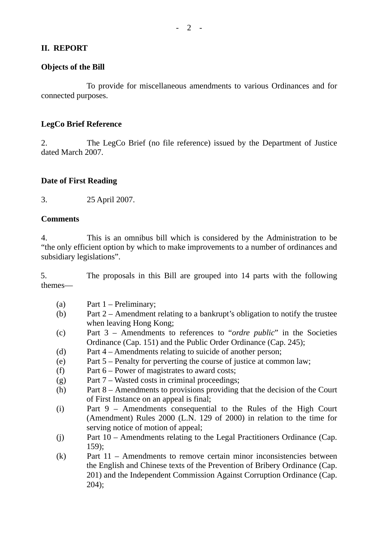### **II. REPORT**

### **Objects of the Bill**

 To provide for miscellaneous amendments to various Ordinances and for connected purposes.

#### **LegCo Brief Reference**

2. The LegCo Brief (no file reference) issued by the Department of Justice dated March 2007.

#### **Date of First Reading**

3. 25 April 2007.

#### **Comments**

4. This is an omnibus bill which is considered by the Administration to be "the only efficient option by which to make improvements to a number of ordinances and subsidiary legislations".

5. The proposals in this Bill are grouped into 14 parts with the following themes—

- (a) Part 1 Preliminary;
- (b) Part 2 Amendment relating to a bankrupt's obligation to notify the trustee when leaving Hong Kong;
- (c) Part 3 Amendments to references to "*ordre public*" in the Societies Ordinance (Cap. 151) and the Public Order Ordinance (Cap. 245);
- (d) Part 4 Amendments relating to suicide of another person;
- (e) Part 5 Penalty for perverting the course of justice at common law;
- (f) Part 6 Power of magistrates to award costs;
- (g) Part 7 Wasted costs in criminal proceedings;
- (h) Part 8 Amendments to provisions providing that the decision of the Court of First Instance on an appeal is final;
- (i) Part 9 Amendments consequential to the Rules of the High Court (Amendment) Rules 2000 (L.N. 129 of 2000) in relation to the time for serving notice of motion of appeal;
- (j) Part 10 Amendments relating to the Legal Practitioners Ordinance (Cap. 159);
- (k) Part 11 Amendments to remove certain minor inconsistencies between the English and Chinese texts of the Prevention of Bribery Ordinance (Cap. 201) and the Independent Commission Against Corruption Ordinance (Cap. 204);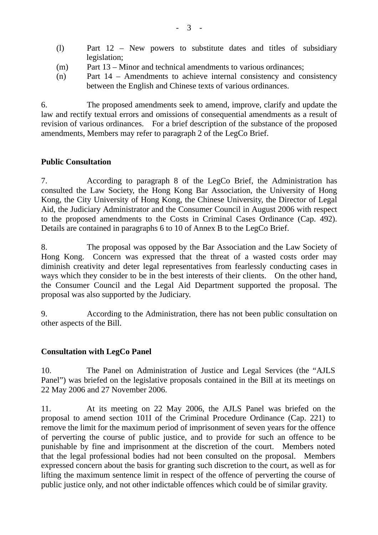- (l) Part 12 New powers to substitute dates and titles of subsidiary legislation;
- (m) Part 13 Minor and technical amendments to various ordinances;
- (n) Part 14 Amendments to achieve internal consistency and consistency between the English and Chinese texts of various ordinances.

6. The proposed amendments seek to amend, improve, clarify and update the law and rectify textual errors and omissions of consequential amendments as a result of revision of various ordinances. For a brief description of the substance of the proposed amendments, Members may refer to paragraph 2 of the LegCo Brief.

## **Public Consultation**

7. According to paragraph 8 of the LegCo Brief, the Administration has consulted the Law Society, the Hong Kong Bar Association, the University of Hong Kong, the City University of Hong Kong, the Chinese University, the Director of Legal Aid, the Judiciary Administrator and the Consumer Council in August 2006 with respect to the proposed amendments to the Costs in Criminal Cases Ordinance (Cap. 492). Details are contained in paragraphs 6 to 10 of Annex B to the LegCo Brief.

8. The proposal was opposed by the Bar Association and the Law Society of Hong Kong. Concern was expressed that the threat of a wasted costs order may diminish creativity and deter legal representatives from fearlessly conducting cases in ways which they consider to be in the best interests of their clients. On the other hand, the Consumer Council and the Legal Aid Department supported the proposal. The proposal was also supported by the Judiciary.

9. According to the Administration, there has not been public consultation on other aspects of the Bill.

# **Consultation with LegCo Panel**

10. The Panel on Administration of Justice and Legal Services (the "AJLS Panel") was briefed on the legislative proposals contained in the Bill at its meetings on 22 May 2006 and 27 November 2006.

11. At its meeting on 22 May 2006, the AJLS Panel was briefed on the proposal to amend section 101I of the Criminal Procedure Ordinance (Cap. 221) to remove the limit for the maximum period of imprisonment of seven years for the offence of perverting the course of public justice, and to provide for such an offence to be punishable by fine and imprisonment at the discretion of the court. Members noted that the legal professional bodies had not been consulted on the proposal. Members expressed concern about the basis for granting such discretion to the court, as well as for lifting the maximum sentence limit in respect of the offence of perverting the course of public justice only, and not other indictable offences which could be of similar gravity.